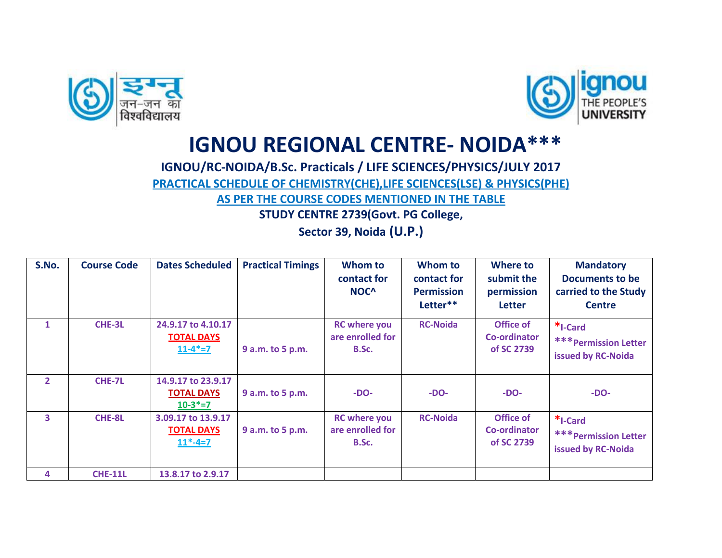



## **IGNOU REGIONAL CENTRE- NOIDA\*\*\***

## **IGNOU/RC-NOIDA/B.Sc. Practicals / LIFE SCIENCES/PHYSICS/JULY 2017**

**PRACTICAL SCHEDULE OF CHEMISTRY(CHE),LIFE SCIENCES(LSE) & PHYSICS(PHE)** 

**AS PER THE COURSE CODES MENTIONED IN THE TABLE**

**STUDY CENTRE 2739(Govt. PG College,**

**Sector 39, Noida (U.P.)**

| S.No.          | <b>Course Code</b> | <b>Dates Scheduled</b>                                   | <b>Practical Timings</b> | Whom to<br>contact for<br>NOC <sup>^</sup>       | Whom to<br>contact for<br><b>Permission</b><br>Letter** | Where to<br>submit the<br>permission<br><b>Letter</b> | <b>Mandatory</b><br><b>Documents to be</b><br>carried to the Study<br><b>Centre</b> |
|----------------|--------------------|----------------------------------------------------------|--------------------------|--------------------------------------------------|---------------------------------------------------------|-------------------------------------------------------|-------------------------------------------------------------------------------------|
| $\mathbf{1}$   | CHE-3L             | 24.9.17 to 4.10.17<br><b>TOTAL DAYS</b><br>$11 - 4* = 7$ | 9 a.m. to 5 p.m.         | <b>RC</b> where you<br>are enrolled for<br>B.Sc. | <b>RC-Noida</b>                                         | Office of<br>Co-ordinator<br>of SC 2739               | *I-Card<br><b>*** Permission Letter</b><br>issued by RC-Noida                       |
| $\overline{2}$ | <b>CHE-7L</b>      | 14.9.17 to 23.9.17<br><b>TOTAL DAYS</b><br>$10-3*=7$     | 9 a.m. to 5 p.m.         | $-DO-$                                           | $-DO-$                                                  | $-DO-$                                                | $-DO-$                                                                              |
| 3              | CHE-8L             | 3.09.17 to 13.9.17<br><b>TOTAL DAYS</b><br>$11*-4=7$     | 9 a.m. to 5 p.m.         | <b>RC</b> where you<br>are enrolled for<br>B.Sc. | <b>RC-Noida</b>                                         | Office of<br><b>Co-ordinator</b><br>of SC 2739        | *I-Card<br><b>*** Permission Letter</b><br>issued by RC-Noida                       |
| 4              | <b>CHE-11L</b>     | 13.8.17 to 2.9.17                                        |                          |                                                  |                                                         |                                                       |                                                                                     |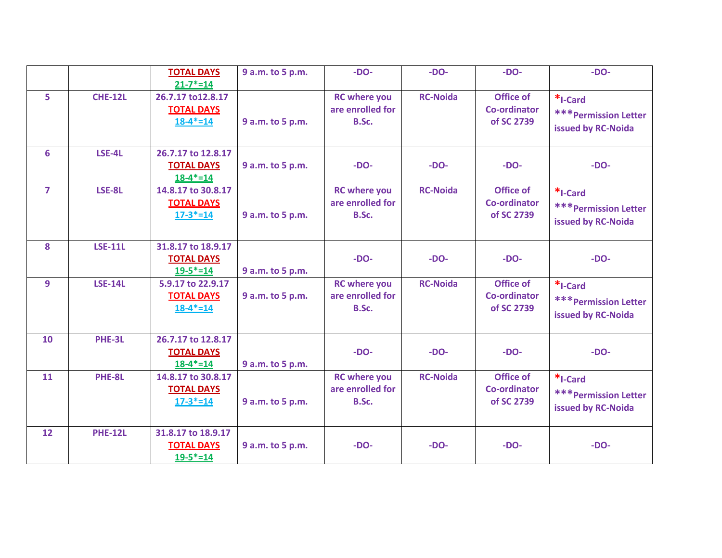|                |                | <b>TOTAL DAYS</b><br>$21 - 7* = 14$                       | 9 a.m. to 5 p.m. | $-DO-$                                           | $-DO-$          | $-DO-$                                                | $-DO-$                                                        |
|----------------|----------------|-----------------------------------------------------------|------------------|--------------------------------------------------|-----------------|-------------------------------------------------------|---------------------------------------------------------------|
| 5              | <b>CHE-12L</b> | 26.7.17 to 12.8.17<br><b>TOTAL DAYS</b><br>$18-4* = 14$   | 9 a.m. to 5 p.m. | <b>RC</b> where you<br>are enrolled for<br>B.Sc. | <b>RC-Noida</b> | <b>Office of</b><br><b>Co-ordinator</b><br>of SC 2739 | *I-Card<br><b>*** Permission Letter</b><br>issued by RC-Noida |
| 6              | LSE-4L         | 26.7.17 to 12.8.17<br><b>TOTAL DAYS</b><br>$18 - 4* = 14$ | 9 a.m. to 5 p.m. | $-DO-$                                           | $-DO-$          | $-DO-$                                                | $-DO-$                                                        |
| $\overline{7}$ | LSE-8L         | 14.8.17 to 30.8.17<br><b>TOTAL DAYS</b><br>$17 - 3* = 14$ | 9 a.m. to 5 p.m. | <b>RC</b> where you<br>are enrolled for<br>B.Sc. | <b>RC-Noida</b> | <b>Office of</b><br><b>Co-ordinator</b><br>of SC 2739 | *I-Card<br><b>*** Permission Letter</b><br>issued by RC-Noida |
| 8              | <b>LSE-11L</b> | 31.8.17 to 18.9.17<br><b>TOTAL DAYS</b><br>$19 - 5* = 14$ | 9 a.m. to 5 p.m. | $-DO-$                                           | $-DO-$          | $-DO-$                                                | $-DO-$                                                        |
| 9              | <b>LSE-14L</b> | 5.9.17 to 22.9.17<br><b>TOTAL DAYS</b><br>$18 - 4* = 14$  | 9 a.m. to 5 p.m. | <b>RC</b> where you<br>are enrolled for<br>B.Sc. | <b>RC-Noida</b> | Office of<br><b>Co-ordinator</b><br>of SC 2739        | *I-Card<br><b>*** Permission Letter</b><br>issued by RC-Noida |
| 10             | PHE-3L         | 26.7.17 to 12.8.17<br><b>TOTAL DAYS</b><br>$18-4* = 14$   | 9 a.m. to 5 p.m. | $-DO-$                                           | $-DO-$          | $-DO-$                                                | $-DO-$                                                        |
| 11             | PHE-8L         | 14.8.17 to 30.8.17<br><b>TOTAL DAYS</b><br>$17 - 3* = 14$ | 9 a.m. to 5 p.m. | <b>RC</b> where you<br>are enrolled for<br>B.Sc. | <b>RC-Noida</b> | Office of<br><b>Co-ordinator</b><br>of SC 2739        | *I-Card<br><b>*** Permission Letter</b><br>issued by RC-Noida |
| 12             | <b>PHE-12L</b> | 31.8.17 to 18.9.17<br><b>TOTAL DAYS</b><br>$19 - 5* = 14$ | 9 a.m. to 5 p.m. | $-DO-$                                           | $-DO-$          | $-DO-$                                                | $-DO-$                                                        |